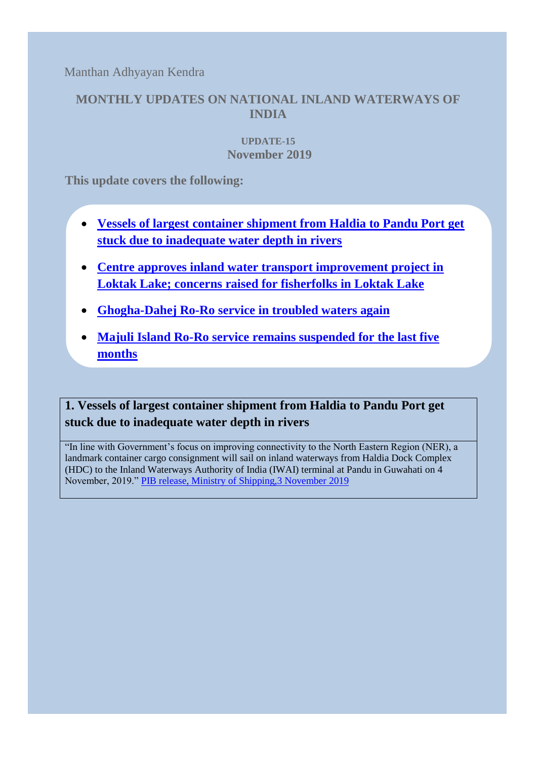Manthan Adhyayan Kendra

## **MONTHLY UPDATES ON NATIONAL INLAND WATERWAYS OF INDIA**

### **UPDATE-15 November 2019**

**This update covers the following:**

- **[Vessels of largest container shipment from Haldia to Pandu Port get](#page-0-0) [stuck due to inadequate water depth](#page-0-0) in rivers**
- **[Centre approves inland water transport](#page-1-0) improvement project in [Loktak Lake; concerns raised for fisherfolks in Loktak Lake](#page-1-0)**
- **[Ghogha-Dahej Ro-Ro service in troubled waters again](#page-2-0)**
- **[Majuli Island Ro-Ro service remains suspended for the last five](#page-4-0)  [months](#page-4-0)**

# <span id="page-0-0"></span>**1. Vessels of largest container shipment from Haldia to Pandu Port get stuck due to inadequate water depth in rivers**

"In line with Government's focus on improving connectivity to the North Eastern Region (NER), a landmark container cargo consignment will sail on inland waterways from Haldia Dock Complex (HDC) to the Inland Waterways Authority of India (IWAI) terminal at Pandu in Guwahati on 4 November, 2019." [PIB release, Ministry of Shipping,3](https://pib.gov.in/newsite/PrintRelease.aspx?relid=194209) November 2019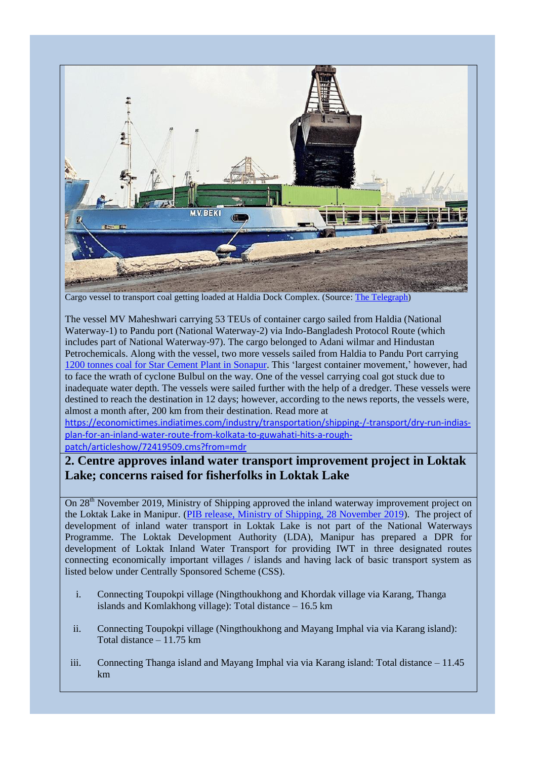

Cargo vessel to transport coal getting loaded at Haldia Dock Complex. (Source: [The Telegraph\)](https://www.telegraphindia.com/states/north-east/container-cargo-sets-sail-for-pandu/cid/1716590)

The vessel MV Maheshwari carrying 53 TEUs of container cargo sailed from Haldia (National Waterway-1) to Pandu port (National Waterway-2) via Indo-Bangladesh Protocol Route (which includes part of National Waterway-97). The cargo belonged to Adani wilmar and Hindustan Petrochemicals. Along with the vessel, two more vessels sailed from Haldia to Pandu Port carrying 1200 tonnes coal [for Star Cement Plant in Sonapur.](https://www.telegraphindia.com/states/north-east/container-cargo-sets-sail-for-pandu/cid/1716590) This 'largest container movement,' however, had to face the wrath of cyclone Bulbul on the way. One of the vessel carrying coal got stuck due to inadequate water depth. The vessels were sailed further with the help of a dredger. These vessels were destined to reach the destination in 12 days; however, according to the news reports, the vessels were, almost a month after, 200 km from their destination. Read more at

[https://economictimes.indiatimes.com/industry/transportation/shipping-/-transport/dry-run-indias](https://economictimes.indiatimes.com/industry/transportation/shipping-/-transport/dry-run-indias-plan-for-an-inland-water-route-from-kolkata-to-guwahati-hits-a-rough-patch/articleshow/72419509.cms?from=mdr)[plan-for-an-inland-water-route-from-kolkata-to-guwahati-hits-a-rough-](https://economictimes.indiatimes.com/industry/transportation/shipping-/-transport/dry-run-indias-plan-for-an-inland-water-route-from-kolkata-to-guwahati-hits-a-rough-patch/articleshow/72419509.cms?from=mdr)

[patch/articleshow/72419509.cms?from=mdr](https://economictimes.indiatimes.com/industry/transportation/shipping-/-transport/dry-run-indias-plan-for-an-inland-water-route-from-kolkata-to-guwahati-hits-a-rough-patch/articleshow/72419509.cms?from=mdr)

### <span id="page-1-0"></span>**2. Centre approves inland water transport improvement project in Loktak Lake; concerns raised for fisherfolks in Loktak Lake**

On 28<sup>th</sup> November 2019, Ministry of Shipping approved the inland waterway improvement project on the Loktak Lake in Manipur. [\(PIB release, Ministry of Shipping, 28 November 2019\)](https://pib.gov.in/PressReleasePage.aspx?PRID=1593939). The project of development of inland water transport in Loktak Lake is not part of the National Waterways Programme. The Loktak Development Authority (LDA), Manipur has prepared a DPR for development of Loktak Inland Water Transport for providing IWT in three designated routes connecting economically important villages / islands and having lack of basic transport system as listed below under Centrally Sponsored Scheme (CSS).

- i. Connecting Toupokpi village (Ningthoukhong and Khordak village via Karang, Thanga islands and Komlakhong village): Total distance – 16.5 km
- ii. Connecting Toupokpi village (Ningthoukhong and Mayang Imphal via via Karang island): Total distance – 11.75 km
- iii. Connecting Thanga island and Mayang Imphal via via Karang island: Total distance 11.45 km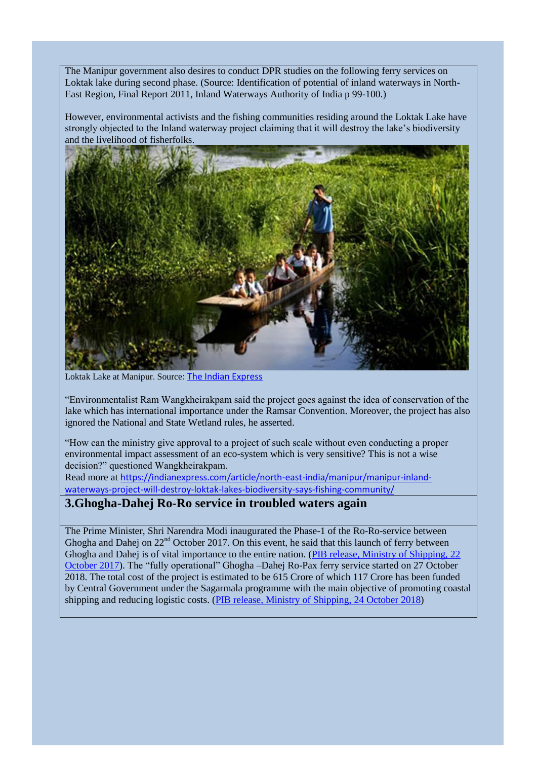The Manipur government also desires to conduct DPR studies on the following ferry services on Loktak lake during second phase. (Source: Identification of potential of inland waterways in North-East Region, Final Report 2011, Inland Waterways Authority of India p 99-100.)

However, environmental activists and the fishing communities residing around the Loktak Lake have strongly objected to the Inland waterway project claiming that it will destroy the lake's biodiversity and the livelihood of fisherfolks.



Loktak Lake at Manipur. Source[: The Indian Express](https://indianexpress.com/article/north-east-india/manipur/manipur-inland-waterways-project-will-destroy-loktak-lakes-biodiversity-says-fishing-community/)

"Environmentalist Ram Wangkheirakpam said the project goes against the idea of conservation of the lake which has international importance under the Ramsar Convention. Moreover, the project has also ignored the National and State Wetland rules, he asserted.

"How can the ministry give approval to a project of such scale without even conducting a proper environmental impact assessment of an eco-system which is very sensitive? This is not a wise decision?" questioned Wangkheirakpam.

Read more at [https://indianexpress.com/article/north-east-india/manipur/manipur-inland](https://indianexpress.com/article/north-east-india/manipur/manipur-inland-waterways-project-will-destroy-loktak-lakes-biodiversity-says-fishing-community/)[waterways-project-will-destroy-loktak-lakes-biodiversity-says-fishing-community/](https://indianexpress.com/article/north-east-india/manipur/manipur-inland-waterways-project-will-destroy-loktak-lakes-biodiversity-says-fishing-community/)

#### <span id="page-2-0"></span>**3.Ghogha-Dahej Ro-Ro service in troubled waters again**

The Prime Minister, Shri Narendra Modi inaugurated the Phase-1 of the Ro-Ro-service between Ghogha and Dahej on 22<sup>nd</sup> October 2017. On this event, he said that this launch of ferry between Ghogha and Dahej is of vital importance to the entire nation. [\(PIB release, Ministry of Shipping, 22](https://pib.gov.in/newsite/PrintRelease.aspx?relid=171842)  [October 2017\)](https://pib.gov.in/newsite/PrintRelease.aspx?relid=171842). The "fully operational" Ghogha –Dahej Ro-Pax ferry service started on 27 October 2018. The total cost of the project is estimated to be 615 Crore of which 117 Crore has been funded by Central Government under the Sagarmala programme with the main objective of promoting coastal shipping and reducing logistic costs. [\(PIB release, Ministry of Shipping,](https://pib.gov.in/newsite/PrintRelease.aspx?relid=184361) 24 October 2018)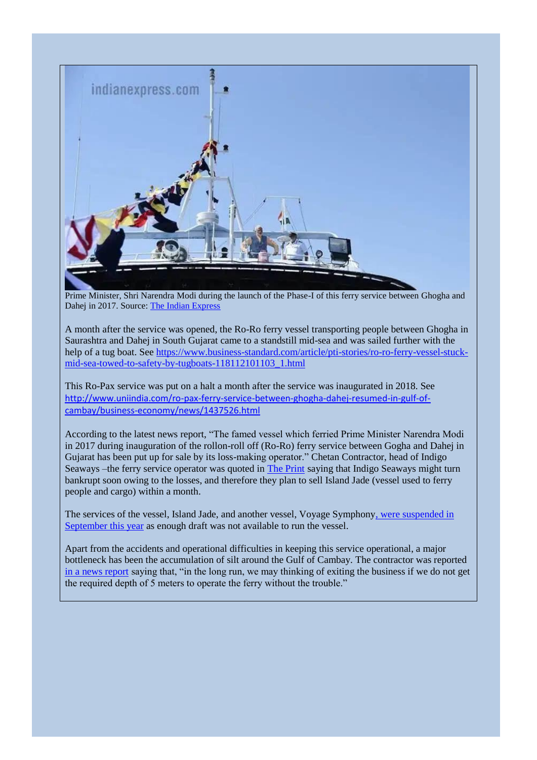

Prime Minister, Shri Narendra Modi during the launch of the Phase-I of this ferry service between Ghogha and Dahej in 2017. Source: The [Indian Express](https://indianexpress.com/article/india/gujarat-ferry-pm-modi-rode-for-ro-ro-launch-is-up-for-sale-6147570/)

A month after the service was opened, the Ro-Ro ferry vessel transporting people between Ghogha in Saurashtra and Dahej in South Gujarat came to a standstill mid-sea and was sailed further with the help of a tug boat. See [https://www.business-standard.com/article/pti-stories/ro-ro-ferry-vessel-stuck](https://www.business-standard.com/article/pti-stories/ro-ro-ferry-vessel-stuck-mid-sea-towed-to-safety-by-tugboats-118112101103_1.html)[mid-sea-towed-to-safety-by-tugboats-118112101103\\_1.html](https://www.business-standard.com/article/pti-stories/ro-ro-ferry-vessel-stuck-mid-sea-towed-to-safety-by-tugboats-118112101103_1.html)

This Ro-Pax service was put on a halt a month after the service was inaugurated in 2018. See [http://www.uniindia.com/ro-pax-ferry-service-between-ghogha-dahej-resumed-in-gulf-of](http://www.uniindia.com/ro-pax-ferry-service-between-ghogha-dahej-resumed-in-gulf-of-cambay/business-economy/news/1437526.html)[cambay/business-economy/news/1437526.html](http://www.uniindia.com/ro-pax-ferry-service-between-ghogha-dahej-resumed-in-gulf-of-cambay/business-economy/news/1437526.html)

According to the latest news report, "The famed vessel which ferried Prime Minister Narendra Modi in 2017 during inauguration of the rollon-roll off (Ro-Ro) ferry service between Gogha and Dahej in Gujarat has been put up for sale by its loss-making operator." Chetan Contractor, head of Indigo Seaways –the ferry service operator was quoted in [The Print](https://theprint.in/india/ro-ro-ferry-service-vessel-pm-modi-rode-up-for-sale-due-to-losses/330852/) saying that Indigo Seaways might turn bankrupt soon owing to the losses, and therefore they plan to sell Island Jade (vessel used to ferry people and cargo) within a month.

The services of the vessel, Island Jade, and another vessel, Voyage Symphon[y, were suspended in](https://indianexpress.com/article/india/gujarat-ferry-pm-modi-rode-for-ro-ro-launch-is-up-for-sale-6147570/)  [September this year](https://indianexpress.com/article/india/gujarat-ferry-pm-modi-rode-for-ro-ro-launch-is-up-for-sale-6147570/) as enough draft was not available to run the vessel.

Apart from the accidents and operational difficulties in keeping this service operational, a major bottleneck has been the accumulation of silt around the Gulf of Cambay. The contractor was reported [in a news report](https://timesofindia.indiatimes.com/india/in-troubled-waters-vessel-that-ferried-pm-in-2017-up-for-sale/articleshow/72354252.cms) saying that, "in the long run, we may thinking of exiting the business if we do not get the required depth of 5 meters to operate the ferry without the trouble."